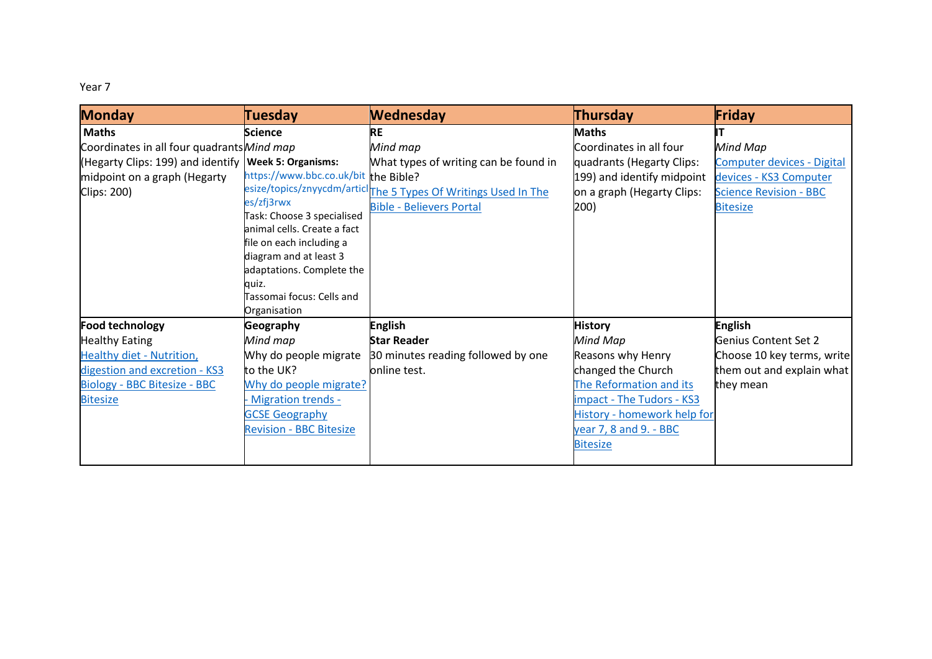Year 7

| <b>Monday</b>                                          | Tuesday                                                   | <b>Wednesday</b>                                                           | Thursday                    | Friday                            |
|--------------------------------------------------------|-----------------------------------------------------------|----------------------------------------------------------------------------|-----------------------------|-----------------------------------|
| <b>Maths</b>                                           | <b>Science</b>                                            | <b>RE</b>                                                                  | <b>Maths</b>                |                                   |
| Coordinates in all four quadrants Mind map             |                                                           | Mind map                                                                   | Coordinates in all four     | Mind Map                          |
| (Hegarty Clips: 199) and identify   Week 5: Organisms: |                                                           | What types of writing can be found in                                      | quadrants (Hegarty Clips:   | <b>Computer devices - Digital</b> |
| midpoint on a graph (Hegarty                           | https://www.bbc.co.uk/bit the Bible?                      |                                                                            | 199) and identify midpoint  | devices - KS3 Computer            |
| Clips: 200)                                            |                                                           | esize/topics/znyycdm/articl <sub>The 5</sub> Types Of Writings Used In The | on a graph (Hegarty Clips:  | <b>Science Revision - BBC</b>     |
|                                                        | es/zfj3rwx                                                | <b>Bible - Believers Portal</b>                                            | 200)                        | <b>Bitesize</b>                   |
|                                                        | Task: Choose 3 specialised<br>animal cells. Create a fact |                                                                            |                             |                                   |
|                                                        | file on each including a                                  |                                                                            |                             |                                   |
|                                                        | diagram and at least 3                                    |                                                                            |                             |                                   |
|                                                        | adaptations. Complete the                                 |                                                                            |                             |                                   |
|                                                        | quiz.                                                     |                                                                            |                             |                                   |
|                                                        | Tassomai focus: Cells and                                 |                                                                            |                             |                                   |
|                                                        | Organisation                                              |                                                                            |                             |                                   |
| <b>Food technology</b>                                 | <b>Geography</b>                                          | <b>English</b>                                                             | <b>History</b>              | <b>English</b>                    |
| <b>Healthy Eating</b>                                  | Mind map                                                  | <b>Star Reader</b>                                                         | Mind Map                    | <b>Genius Content Set 2</b>       |
| <b>Healthy diet - Nutrition,</b>                       | Why do people migrate                                     | 30 minutes reading followed by one                                         | Reasons why Henry           | Choose 10 key terms, write        |
| digestion and excretion - KS3                          | to the UK?                                                | online test.                                                               | changed the Church          | them out and explain what         |
| <b>Biology - BBC Bitesize - BBC</b>                    | Why do people migrate?                                    |                                                                            | The Reformation and its     | they mean                         |
| <b>Bitesize</b>                                        | - Migration trends -                                      |                                                                            | impact - The Tudors - KS3   |                                   |
|                                                        | <b>GCSE Geography</b>                                     |                                                                            | History - homework help for |                                   |
|                                                        | <b>Revision - BBC Bitesize</b>                            |                                                                            | year 7, 8 and 9. - BBC      |                                   |
|                                                        |                                                           |                                                                            | <b>Bitesize</b>             |                                   |
|                                                        |                                                           |                                                                            |                             |                                   |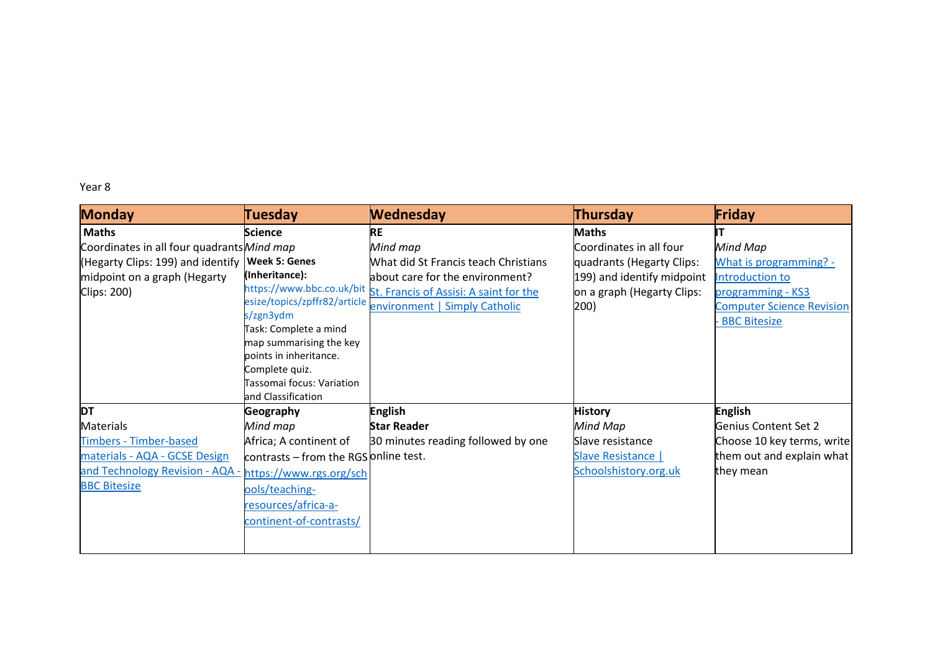## Year 8

| <b>Monday</b>                              | <b>Tuesday</b>                                   | <b>Wednesday</b>                                                 | <b>Thursday</b>            | Friday                           |
|--------------------------------------------|--------------------------------------------------|------------------------------------------------------------------|----------------------------|----------------------------------|
| <b>Maths</b>                               | <b>Science</b>                                   | <b>RE</b>                                                        | <b>Maths</b>               |                                  |
| Coordinates in all four quadrants Mind map |                                                  | Mind map                                                         | Coordinates in all four    | Mind Map                         |
| (Hegarty Clips: 199) and identify          | <b>Week 5: Genes</b>                             | What did St Francis teach Christians                             | quadrants (Hegarty Clips:  | What is programming? -           |
| midpoint on a graph (Hegarty               | (Inheritance):                                   | about care for the environment?                                  | 199) and identify midpoint | Introduction to                  |
| Clips: 200)                                |                                                  | https://www.bbc.co.uk/bit St. Francis of Assisi: A saint for the | on a graph (Hegarty Clips: | programming - KS3                |
|                                            |                                                  | esize/topics/zpffr82/article environment   Simply Catholic       | 200)                       | <b>Computer Science Revision</b> |
|                                            | s/zgn3ydm                                        |                                                                  |                            | <b>BBC Bitesize</b>              |
|                                            | Task: Complete a mind<br>map summarising the key |                                                                  |                            |                                  |
|                                            | points in inheritance.                           |                                                                  |                            |                                  |
|                                            | Complete quiz.                                   |                                                                  |                            |                                  |
|                                            | Tassomai focus: Variation                        |                                                                  |                            |                                  |
|                                            | and Classification                               |                                                                  |                            |                                  |
| <b>DT</b>                                  | Geography                                        | <b>English</b>                                                   | <b>History</b>             | <b>English</b>                   |
| <b>Materials</b>                           | Mind map                                         | <b>Star Reader</b>                                               | Mind Map                   | Genius Content Set 2             |
| <b>Timbers - Timber-based</b>              | Africa; A continent of                           | 30 minutes reading followed by one                               | Slave resistance           | Choose 10 key terms, write       |
| materials - AQA - GCSE Design              | contrasts - from the RGS online test.            |                                                                  | Slave Resistance           | them out and explain what        |
| and Technology Revision - AQA -            | https://www.rgs.org/sch                          |                                                                  | Schoolshistory.org.uk      | they mean                        |
| <b>BBC Bitesize</b>                        | ools/teaching-                                   |                                                                  |                            |                                  |
|                                            | resources/africa-a-                              |                                                                  |                            |                                  |
|                                            | continent-of-contrasts/                          |                                                                  |                            |                                  |
|                                            |                                                  |                                                                  |                            |                                  |
|                                            |                                                  |                                                                  |                            |                                  |